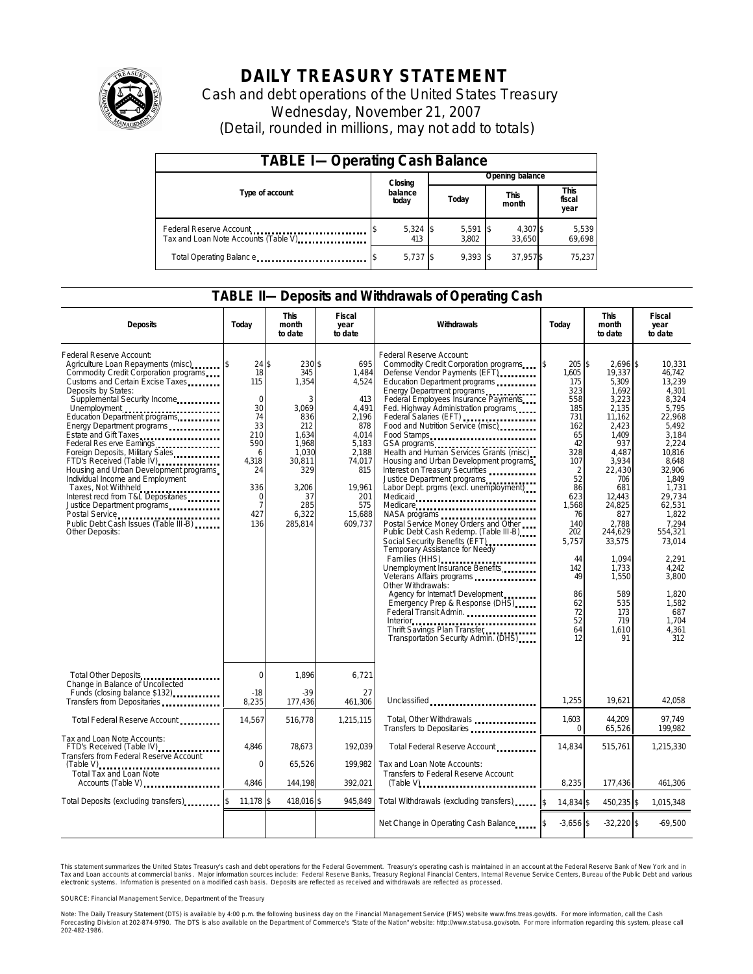

# **DAILY TREASURY STATEMENT**

Cash and debt operations of the United States Treasury Wednesday, November 21, 2007 (Detail, rounded in millions, may not add to totals)

| <b>TABLE I-Operating Cash Balance</b>                            |  |                   |  |                     |  |                      |  |                               |  |  |
|------------------------------------------------------------------|--|-------------------|--|---------------------|--|----------------------|--|-------------------------------|--|--|
|                                                                  |  | Closing           |  | Opening balance     |  |                      |  |                               |  |  |
| Type of account                                                  |  | balance<br>today  |  | Today               |  | <b>This</b><br>month |  | <b>This</b><br>fiscal<br>year |  |  |
| Federal Reserve Account<br>Tax and Loan Note Accounts (Table V). |  | $5,324$ \$<br>413 |  | $5,591$ \$<br>3.802 |  | 4,307 \$<br>33.650   |  | 5,539<br>69,698               |  |  |
| Total Operating Balance                                          |  | $5,737$ \$        |  | $9.393$ \$          |  | 37.957\$             |  | 75.237                        |  |  |

### **TABLE II—Deposits and Withdrawals of Operating Cash**

| <b>Deposits</b>                                                                                                                                                                                                                                                                                                                                                                                                                                                                                                                                                                                                                  | Today                                                                                                                                         | <b>This</b><br>month<br>to date                                                                                                          | <b>Fiscal</b><br>year<br>to date                                                                                                               | Withdrawals<br>Today                                                                                                                                                                                                                                                                                                                                                                                                                                                                                                                                                                                                                                                                                                                                                                                                                                                                                                                                                                                 |                                                                                                                                                                                                         | <b>This</b><br>month<br>to date                                                                                                                                                                                                                                    | <b>Fiscal</b><br>year<br>to date                                                                                                                                                                                                                                                  |
|----------------------------------------------------------------------------------------------------------------------------------------------------------------------------------------------------------------------------------------------------------------------------------------------------------------------------------------------------------------------------------------------------------------------------------------------------------------------------------------------------------------------------------------------------------------------------------------------------------------------------------|-----------------------------------------------------------------------------------------------------------------------------------------------|------------------------------------------------------------------------------------------------------------------------------------------|------------------------------------------------------------------------------------------------------------------------------------------------|------------------------------------------------------------------------------------------------------------------------------------------------------------------------------------------------------------------------------------------------------------------------------------------------------------------------------------------------------------------------------------------------------------------------------------------------------------------------------------------------------------------------------------------------------------------------------------------------------------------------------------------------------------------------------------------------------------------------------------------------------------------------------------------------------------------------------------------------------------------------------------------------------------------------------------------------------------------------------------------------------|---------------------------------------------------------------------------------------------------------------------------------------------------------------------------------------------------------|--------------------------------------------------------------------------------------------------------------------------------------------------------------------------------------------------------------------------------------------------------------------|-----------------------------------------------------------------------------------------------------------------------------------------------------------------------------------------------------------------------------------------------------------------------------------|
| Federal Reserve Account:<br>Agriculture Loan Repayments (misc)<br>Commodity Credit Corporation programs<br>Customs and Certain Excise Taxes<br>Deposits by States:<br>Supplemental Security Income<br>Energy Department programs<br>Estate and Gift Taxes<br>Federal Res erve Earnings<br>Foreign Deposits, Military Sales<br>FTD's Received (Table IV) <b>FTD</b> 's Received (Table IV)<br>Housing and Urban Development programs<br>Individual Income and Employment<br>Taxes, Not Withheld<br>Interest recd from T&L Depositaries<br>Justice Department programs<br>Public Debt Cash Issues (Table III-B)<br>Other Deposits: | $24$ \$<br>18<br>115<br>$\mathbf 0$<br>30<br>74<br>33<br>210<br>590<br>6<br>4.318<br>24<br>336<br>$\mathbf 0$<br>$\overline{7}$<br>427<br>136 | 230 \$<br>345<br>1,354<br>3<br>3.069<br>836<br>212<br>1.634<br>1,968<br>1.030<br>30,811<br>329<br>3,206<br>37<br>285<br>6.322<br>285.814 | 695<br>1,484<br>4,524<br>413<br>4.491<br>2,196<br>878<br>4.014<br>5,183<br>2.188<br>74,017<br>815<br>19,961<br>201<br>575<br>15.688<br>609.737 | Federal Reserve Account:<br>Commodity Credit Corporation programs \$<br>Defense Vendor Payments (EFT)<br>Education Department programs<br>Energy Department programs<br>Federal Employees Insurance Payments<br>Fed. Highway Administration programs<br>Federal Salaries (EFT)<br>Food and Nutrition Service (misc)<br>Food Stamps<br>Health and Human Services Grants (misc)<br>Housing and Urban Development programs<br>Interest on Treasury Securities<br>Justice Department programs<br>Labor Dept. prgms (excl. unemployment)<br>Medicaid<br>Medicare<br>NASA programs<br>Postal Service Money Orders and Other<br>Public Debt Cash Redemp. (Table III-B)<br>Social Security Benefits (EFT)<br>Temporary Assistance for Needy<br>Families (HHS)<br>Unemployment Insurance Benefits<br>Other Withdrawals:<br>Agency for Internat   Development<br>Emergency Prep & Response (DHS)<br>Federal Transit Admin.<br>Interior<br>Thrift Savings Plan Transfer<br>Transportation Security Admin. (DHS) | 205\$<br>1,605<br>175<br>323<br>558<br>185<br>731<br>162<br>65<br>42<br>328<br>107<br>2<br>52<br>86<br>623<br>1,568<br>76<br>140<br>202<br>5,757<br>44<br>142<br>49<br>86<br>62<br>72<br>52<br>64<br>12 | 2,696 \$<br>19,337<br>5,309<br>1.692<br>3,223<br>2.135<br>11,162<br>2,423<br>1.409<br>937<br>4.487<br>3,934<br>22.430<br>706<br>681<br>12.443<br>24,825<br>827<br>2.788<br>244.629<br>33,575<br>1.094<br>1,733<br>1.550<br>589<br>535<br>173<br>719<br>1.610<br>91 | 10,331<br>46,742<br>13,239<br>4.301<br>8,324<br>5.795<br>22,968<br>5,492<br>3.184<br>2,224<br>10.816<br>8,648<br>32.906<br>1.849<br>1,731<br>29.734<br>62,531<br>1.822<br>7.294<br>554.321<br>73,014<br>2.291<br>4.242<br>3.800<br>1,820<br>1,582<br>687<br>1.704<br>4.361<br>312 |
| Total Other Deposits<br>Change in Balance of Uncollected                                                                                                                                                                                                                                                                                                                                                                                                                                                                                                                                                                         | $\mathbf 0$                                                                                                                                   | 1,896                                                                                                                                    | 6,721                                                                                                                                          |                                                                                                                                                                                                                                                                                                                                                                                                                                                                                                                                                                                                                                                                                                                                                                                                                                                                                                                                                                                                      |                                                                                                                                                                                                         |                                                                                                                                                                                                                                                                    |                                                                                                                                                                                                                                                                                   |
| Funds (closing balance \$132)<br>Transfers from Depositaries                                                                                                                                                                                                                                                                                                                                                                                                                                                                                                                                                                     | $-18$<br>8,235                                                                                                                                | $-39$<br>177,436                                                                                                                         | 27<br>461.306                                                                                                                                  | Unclassified                                                                                                                                                                                                                                                                                                                                                                                                                                                                                                                                                                                                                                                                                                                                                                                                                                                                                                                                                                                         | 1,255                                                                                                                                                                                                   | 19,621                                                                                                                                                                                                                                                             | 42,058                                                                                                                                                                                                                                                                            |
| Total Federal Reserve Account                                                                                                                                                                                                                                                                                                                                                                                                                                                                                                                                                                                                    | 14,567                                                                                                                                        | 516,778                                                                                                                                  | 1,215,115                                                                                                                                      | Total, Other Withdrawals<br>Transfers to Depositaries                                                                                                                                                                                                                                                                                                                                                                                                                                                                                                                                                                                                                                                                                                                                                                                                                                                                                                                                                | 1.603<br>$\mathbf{0}$                                                                                                                                                                                   | 44.209<br>65,526                                                                                                                                                                                                                                                   | 97.749<br>199,982                                                                                                                                                                                                                                                                 |
| Tax and Loan Note Accounts:<br>FTD's Received (Table IV)<br>Transfers from Federal Reserve Account                                                                                                                                                                                                                                                                                                                                                                                                                                                                                                                               | 4,846                                                                                                                                         | 78,673                                                                                                                                   | 192,039                                                                                                                                        | Total Federal Reserve Account                                                                                                                                                                                                                                                                                                                                                                                                                                                                                                                                                                                                                                                                                                                                                                                                                                                                                                                                                                        | 14,834                                                                                                                                                                                                  | 515,761                                                                                                                                                                                                                                                            | 1,215,330                                                                                                                                                                                                                                                                         |
| Total Tax and Loan Note<br>Accounts (Table V)                                                                                                                                                                                                                                                                                                                                                                                                                                                                                                                                                                                    | $\mathbf 0$<br>4.846                                                                                                                          | 65,526<br>144.198                                                                                                                        | 199.982<br>392,021                                                                                                                             | Tax and Loan Note Accounts:<br>Transfers to Federal Reserve Account<br>$(Table V)$                                                                                                                                                                                                                                                                                                                                                                                                                                                                                                                                                                                                                                                                                                                                                                                                                                                                                                                   | 8,235                                                                                                                                                                                                   | 177,436                                                                                                                                                                                                                                                            | 461,306                                                                                                                                                                                                                                                                           |
| Total Deposits (excluding transfers)                                                                                                                                                                                                                                                                                                                                                                                                                                                                                                                                                                                             | 11,178 \$                                                                                                                                     | 418,016 \$                                                                                                                               | 945,849                                                                                                                                        | Total Withdrawals (excluding transfers) [\$                                                                                                                                                                                                                                                                                                                                                                                                                                                                                                                                                                                                                                                                                                                                                                                                                                                                                                                                                          | 14,834 \$                                                                                                                                                                                               | 450,235 \$                                                                                                                                                                                                                                                         | 1,015,348                                                                                                                                                                                                                                                                         |
|                                                                                                                                                                                                                                                                                                                                                                                                                                                                                                                                                                                                                                  |                                                                                                                                               |                                                                                                                                          |                                                                                                                                                | Net Change in Operating Cash Balance                                                                                                                                                                                                                                                                                                                                                                                                                                                                                                                                                                                                                                                                                                                                                                                                                                                                                                                                                                 | $-3.656$ \$                                                                                                                                                                                             | $-32,220$ \$                                                                                                                                                                                                                                                       | $-69.500$                                                                                                                                                                                                                                                                         |

This statement summarizes the United States Treasury's cash and debt operations for the Federal Government. Treasury's operating cash is maintained in an account at the Federal Reserve Bank of New York and in Tax and Loan accounts at commercial banks. Major information sources include: Federal Reserve Banks, Treasury Regional Financial Centers, Internal Revenue Service Centers, Bureau of the Public Debt and various<br>electronic s

SOURCE: Financial Management Service, Department of the Treasury

Note: The Daily Treasury Statement (DTS) is available by 4:00 p.m. the following business day on the Financial Management Service (FMS) website www.fms.treas.gov/dts. For more information, call the Cash<br>Forecasting Divisio 'S) is available by 4:00 p.m. the following business day on the Financial Management Service (FMS) website www.fms.treas.gov/dts. For more information, call the Cash<br>The DTS is also available on the Department of Commerce'